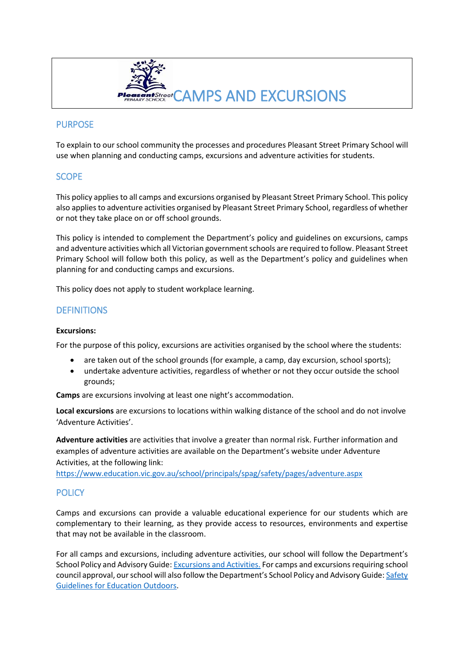

# **PURPOSE**

To explain to our school community the processes and procedures Pleasant Street Primary School will use when planning and conducting camps, excursions and adventure activities for students.

# **SCOPE**

This policy applies to all camps and excursions organised by Pleasant Street Primary School. This policy also applies to adventure activities organised by Pleasant Street Primary School, regardless of whether or not they take place on or off school grounds.

This policy is intended to complement the Department's policy and guidelines on excursions, camps and adventure activities which all Victorian government schools are required to follow. Pleasant Street Primary School will follow both this policy, as well as the Department's policy and guidelines when planning for and conducting camps and excursions.

This policy does not apply to student workplace learning.

## **DEFINITIONS**

#### **Excursions:**

For the purpose of this policy, excursions are activities organised by the school where the students:

- are taken out of the school grounds (for example, a camp, day excursion, school sports);
- undertake adventure activities, regardless of whether or not they occur outside the school grounds;

**Camps** are excursions involving at least one night's accommodation.

**Local excursions** are excursions to locations within walking distance of the school and do not involve 'Adventure Activities'.

**Adventure activities** are activities that involve a greater than normal risk. Further information and examples of adventure activities are available on the Department's website under Adventure Activities, at the following link:

<https://www.education.vic.gov.au/school/principals/spag/safety/pages/adventure.aspx>

# **POLICY**

Camps and excursions can provide a valuable educational experience for our students which are complementary to their learning, as they provide access to resources, environments and expertise that may not be available in the classroom.

For all camps and excursions, including adventure activities, our school will follow the Department's School Policy and Advisory Guide[: Excursions and Activities.](http://www.education.vic.gov.au/school/principals/spag/safety/pages/excursions.aspx) For camps and excursions requiring school council approval, our school will also follow the Department's School Policy and Advisory Guide: Safety [Guidelines for Education Outdoors.](https://www.education.vic.gov.au/school/teachers/studentmanagement/excursions/Pages/outdoorguidelines.aspx)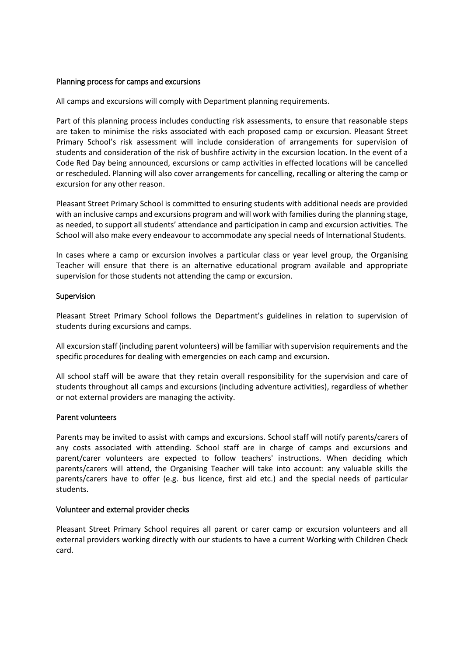#### Planning process for camps and excursions

All camps and excursions will comply with Department planning requirements.

Part of this planning process includes conducting risk assessments, to ensure that reasonable steps are taken to minimise the risks associated with each proposed camp or excursion. Pleasant Street Primary School's risk assessment will include consideration of arrangements for supervision of students and consideration of the risk of bushfire activity in the excursion location. In the event of a Code Red Day being announced, excursions or camp activities in effected locations will be cancelled or rescheduled. Planning will also cover arrangements for cancelling, recalling or altering the camp or excursion for any other reason.

Pleasant Street Primary School is committed to ensuring students with additional needs are provided with an inclusive camps and excursions program and will work with families during the planning stage, as needed, to support all students' attendance and participation in camp and excursion activities. The School will also make every endeavour to accommodate any special needs of International Students.

In cases where a camp or excursion involves a particular class or year level group, the Organising Teacher will ensure that there is an alternative educational program available and appropriate supervision for those students not attending the camp or excursion.

#### Supervision

Pleasant Street Primary School follows the Department's guidelines in relation to supervision of students during excursions and camps.

All excursion staff (including parent volunteers) will be familiar with supervision requirements and the specific procedures for dealing with emergencies on each camp and excursion.

All school staff will be aware that they retain overall responsibility for the supervision and care of students throughout all camps and excursions (including adventure activities), regardless of whether or not external providers are managing the activity.

#### Parent volunteers

Parents may be invited to assist with camps and excursions. School staff will notify parents/carers of any costs associated with attending. School staff are in charge of camps and excursions and parent/carer volunteers are expected to follow teachers' instructions. When deciding which parents/carers will attend, the Organising Teacher will take into account: any valuable skills the parents/carers have to offer (e.g. bus licence, first aid etc.) and the special needs of particular students.

#### Volunteer and external provider checks

Pleasant Street Primary School requires all parent or carer camp or excursion volunteers and all external providers working directly with our students to have a current Working with Children Check card.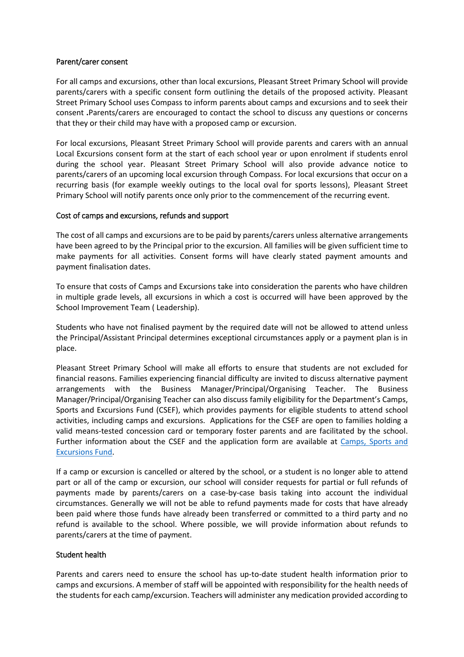#### Parent/carer consent

For all camps and excursions, other than local excursions, Pleasant Street Primary School will provide parents/carers with a specific consent form outlining the details of the proposed activity. Pleasant Street Primary School uses Compass to inform parents about camps and excursions and to seek their consent **.**Parents/carers are encouraged to contact the school to discuss any questions or concerns that they or their child may have with a proposed camp or excursion.

For local excursions, Pleasant Street Primary School will provide parents and carers with an annual Local Excursions consent form at the start of each school year or upon enrolment if students enrol during the school year. Pleasant Street Primary School will also provide advance notice to parents/carers of an upcoming local excursion through Compass. For local excursions that occur on a recurring basis (for example weekly outings to the local oval for sports lessons), Pleasant Street Primary School will notify parents once only prior to the commencement of the recurring event.

#### Cost of camps and excursions, refunds and support

The cost of all camps and excursions are to be paid by parents/carers unless alternative arrangements have been agreed to by the Principal prior to the excursion. All families will be given sufficient time to make payments for all activities. Consent forms will have clearly stated payment amounts and payment finalisation dates.

To ensure that costs of Camps and Excursions take into consideration the parents who have children in multiple grade levels, all excursions in which a cost is occurred will have been approved by the School Improvement Team ( Leadership).

Students who have not finalised payment by the required date will not be allowed to attend unless the Principal/Assistant Principal determines exceptional circumstances apply or a payment plan is in place.

Pleasant Street Primary School will make all efforts to ensure that students are not excluded for financial reasons. Families experiencing financial difficulty are invited to discuss alternative payment arrangements with the Business Manager/Principal/Organising Teacher. The Business Manager/Principal/Organising Teacher can also discuss family eligibility for the Department's Camps, Sports and Excursions Fund (CSEF), which provides payments for eligible students to attend school activities, including camps and excursions. Applications for the CSEF are open to families holding a valid means-tested concession card or temporary foster parents and are facilitated by the school. Further information about the CSEF and the application form are available at [Camps, Sports and](http://www.education.vic.gov.au/about/programs/Pages/csef.aspx)  [Excursions Fund.](http://www.education.vic.gov.au/about/programs/Pages/csef.aspx)

If a camp or excursion is cancelled or altered by the school, or a student is no longer able to attend part or all of the camp or excursion, our school will consider requests for partial or full refunds of payments made by parents/carers on a case-by-case basis taking into account the individual circumstances. Generally we will not be able to refund payments made for costs that have already been paid where those funds have already been transferred or committed to a third party and no refund is available to the school. Where possible, we will provide information about refunds to parents/carers at the time of payment.

#### Student health

Parents and carers need to ensure the school has up-to-date student health information prior to camps and excursions. A member of staff will be appointed with responsibility for the health needs of the students for each camp/excursion. Teachers will administer any medication provided according to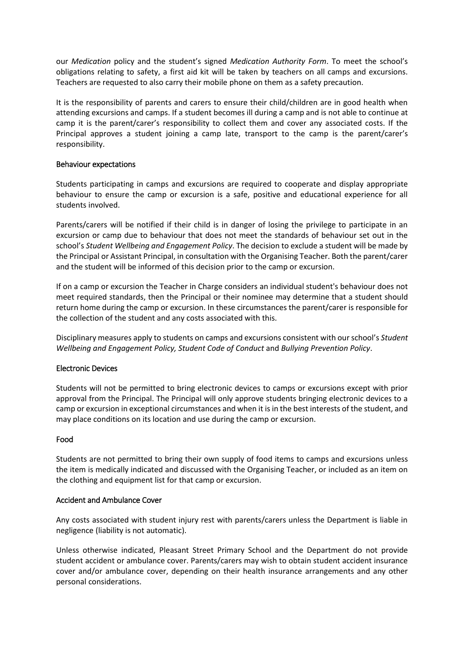our *Medication* policy and the student's signed *Medication Authority Form*. To meet the school's obligations relating to safety, a first aid kit will be taken by teachers on all camps and excursions. Teachers are requested to also carry their mobile phone on them as a safety precaution.

It is the responsibility of parents and carers to ensure their child/children are in good health when attending excursions and camps. If a student becomes ill during a camp and is not able to continue at camp it is the parent/carer's responsibility to collect them and cover any associated costs. If the Principal approves a student joining a camp late, transport to the camp is the parent/carer's responsibility.

#### Behaviour expectations

Students participating in camps and excursions are required to cooperate and display appropriate behaviour to ensure the camp or excursion is a safe, positive and educational experience for all students involved.

Parents/carers will be notified if their child is in danger of losing the privilege to participate in an excursion or camp due to behaviour that does not meet the standards of behaviour set out in the school's *Student Wellbeing and Engagement Policy*. The decision to exclude a student will be made by the Principal or Assistant Principal, in consultation with the Organising Teacher. Both the parent/carer and the student will be informed of this decision prior to the camp or excursion.

If on a camp or excursion the Teacher in Charge considers an individual student's behaviour does not meet required standards, then the Principal or their nominee may determine that a student should return home during the camp or excursion. In these circumstances the parent/carer is responsible for the collection of the student and any costs associated with this.

Disciplinary measures apply to students on camps and excursions consistent with our school's *Student Wellbeing and Engagement Policy, Student Code of Conduct* and *Bullying Prevention Policy*.

### Electronic Devices

Students will not be permitted to bring electronic devices to camps or excursions except with prior approval from the Principal. The Principal will only approve students bringing electronic devices to a camp or excursion in exceptional circumstances and when it is in the best interests of the student, and may place conditions on its location and use during the camp or excursion.

#### Food

Students are not permitted to bring their own supply of food items to camps and excursions unless the item is medically indicated and discussed with the Organising Teacher, or included as an item on the clothing and equipment list for that camp or excursion.

#### Accident and Ambulance Cover

Any costs associated with student injury rest with parents/carers unless the Department is liable in negligence (liability is not automatic).

Unless otherwise indicated, Pleasant Street Primary School and the Department do not provide student accident or ambulance cover. Parents/carers may wish to obtain student accident insurance cover and/or ambulance cover, depending on their health insurance arrangements and any other personal considerations.